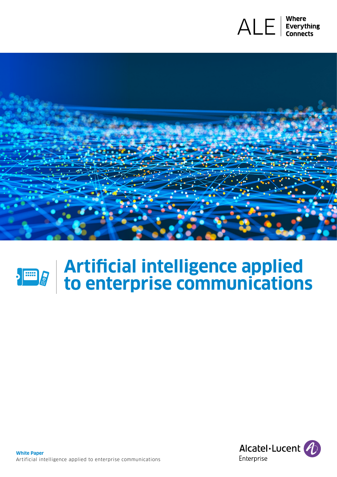





# **Artificial intelligence applied to enterprise communications**

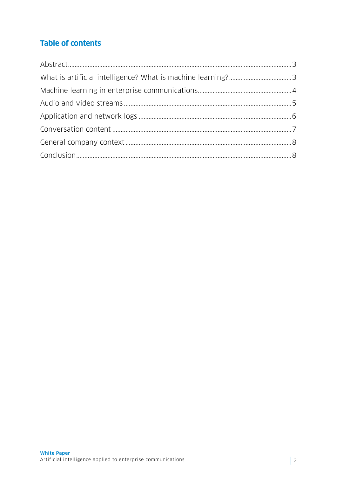# **Table of contents**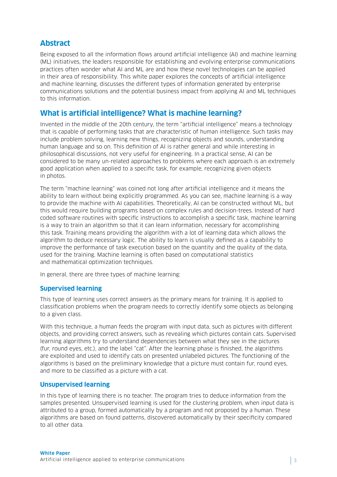# <span id="page-2-0"></span>**Abstract**

Being exposed to all the information flows around artificial intelligence (AI) and machine learning (ML) initiatives, the leaders responsible for establishing and evolving enterprise communications practices often wonder what AI and ML are and how these novel technologies can be applied in their area of responsibility. This white paper explores the concepts of artificial intelligence and machine learning, discusses the different types of information generated by enterprise communications solutions and the potential business impact from applying AI and ML techniques to this information.

# **What is artificial intelligence? What is machine learning?**

Invented in the middle of the 20th century, the term "artificial intelligence" means a technology that is capable of performing tasks that are characteristic of human intelligence. Such tasks may include problem solving, learning new things, recognizing objects and sounds, understanding human language and so on. This definition of AI is rather general and while interesting in philosophical discussions, not very useful for engineering. In a practical sense, AI can be considered to be many un-related approaches to problems where each approach is an extremely good application when applied to a specific task, for example, recognizing given objects in photos.

The term "machine learning" was coined not long after artificial intelligence and it means the ability to learn without being explicitly programmed. As you can see, machine learning is a way to provide the machine with AI capabilities. Theoretically, AI can be constructed without ML, but this would require building programs based on complex rules and decision-trees. Instead of hard coded software routines with specific instructions to accomplish a specific task, machine learning is a way to train an algorithm so that it can learn information, necessary for accomplishing this task. Training means providing the algorithm with a lot of learning data which allows the algorithm to deduce necessary logic. The ability to learn is usually defined as a capability to improve the performance of task execution based on the quantity and the quality of the data, used for the training. Machine learning is often based on computational statistics and mathematical optimization techniques.

In general, there are three types of machine learning:

#### **Supervised learning**

This type of learning uses correct answers as the primary means for training. It is applied to classification problems when the program needs to correctly identify some objects as belonging to a given class.

With this technique, a human feeds the program with input data, such as pictures with different objects, and providing correct answers, such as revealing which pictures contain cats. Supervised learning algorithms try to understand dependencies between what they see in the pictures (fur, round eyes, etc.), and the label "cat". After the learning phase is finished, the algorithms are exploited and used to identify cats on presented unlabeled pictures. The functioning of the algorithms is based on the preliminary knowledge that a picture must contain fur, round eyes, and more to be classified as a picture with a cat.

#### **Unsupervised learning**

In this type of learning there is no teacher. The program tries to deduce information from the samples presented. Unsupervised learning is used for the clustering problem, when input data is attributed to a group, formed automatically by a program and not proposed by a human. These algorithms are based on found patterns, discovered automatically by their specificity compared to all other data.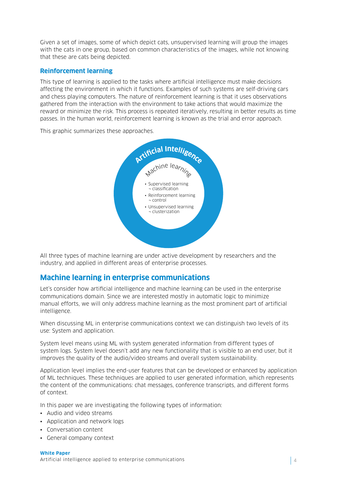<span id="page-3-0"></span>Given a set of images, some of which depict cats, unsupervised learning will group the images with the cats in one group, based on common characteristics of the images, while not knowing that these are cats being depicted.

## **Reinforcement learning**

This type of learning is applied to the tasks where artificial intelligence must make decisions affecting the environment in which it functions. Examples of such systems are self-driving cars and chess playing computers. The nature of reinforcement learning is that it uses observations gathered from the interaction with the environment to take actions that would maximize the reward or minimize the risk. This process is repeated iteratively, resulting in better results as time passes. In the human world, reinforcement learning is known as the trial and error approach.

This graphic summarizes these approaches.



All three types of machine learning are under active development by researchers and the industry, and applied in different areas of enterprise processes.

## **Machine learning in enterprise communications**

Let's consider how artificial intelligence and machine learning can be used in the enterprise communications domain. Since we are interested mostly in automatic logic to minimize manual efforts, we will only address machine learning as the most prominent part of artificial intelligence.

When discussing ML in enterprise communications context we can distinguish two levels of its use: System and application.

System level means using ML with system generated information from different types of system logs. System level doesn't add any new functionality that is visible to an end user, but it improves the quality of the audio/video streams and overall system sustainability.

Application level implies the end-user features that can be developed or enhanced by application of ML techniques. These techniques are applied to user generated information, which represents the content of the communications: chat messages, conference transcripts, and different forms of context.

In this paper we are investigating the following types of information:

- Audio and video streams
- Application and network logs
- Conversation content
- General company context

**White Paper**  Artificial intelligence applied to enterprise communications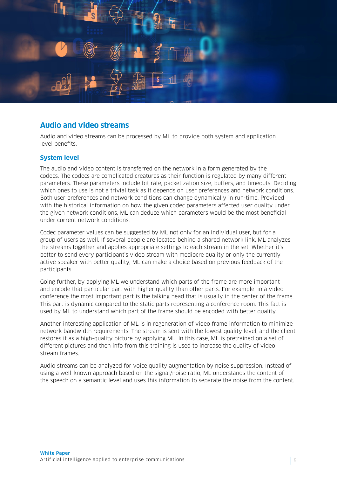<span id="page-4-0"></span>

# **Audio and video streams**

Audio and video streams can be processed by ML to provide both system and application level benefits.

## **System level**

The audio and video content is transferred on the network in a form generated by the codecs. The codecs are complicated creatures as their function is regulated by many different parameters. These parameters include bit rate, packetization size, buffers, and timeouts. Deciding which ones to use is not a trivial task as it depends on user preferences and network conditions. Both user preferences and network conditions can change dynamically in run-time. Provided with the historical information on how the given codec parameters affected user quality under the given network conditions, ML can deduce which parameters would be the most beneficial under current network conditions.

Codec parameter values can be suggested by ML not only for an individual user, but for a group of users as well. If several people are located behind a shared network link, ML analyzes the streams together and applies appropriate settings to each stream in the set. Whether it's better to send every participant's video stream with mediocre quality or only the currently active speaker with better quality, ML can make a choice based on previous feedback of the participants.

Going further, by applying ML we understand which parts of the frame are more important and encode that particular part with higher quality than other parts. For example, in a video conference the most important part is the talking head that is usually in the center of the frame. This part is dynamic compared to the static parts representing a conference room. This fact is used by ML to understand which part of the frame should be encoded with better quality.

Another interesting application of ML is in regeneration of video frame information to minimize network bandwidth requirements. The stream is sent with the lowest quality level, and the client restores it as a high-quality picture by applying ML. In this case, ML is pretrained on a set of different pictures and then info from this training is used to increase the quality of video stream frames.

Audio streams can be analyzed for voice quality augmentation by noise suppression. Instead of using a well-known approach based on the signal/noise ratio, ML understands the content of the speech on a semantic level and uses this information to separate the noise from the content.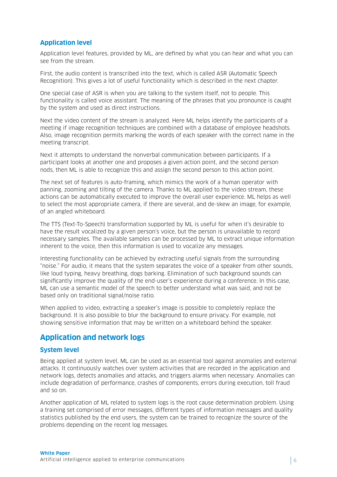## <span id="page-5-0"></span>**Application level**

Application level features, provided by ML, are defined by what you can hear and what you can see from the stream.

First, the audio content is transcribed into the text, which is called ASR (Automatic Speech Recognition). This gives a lot of useful functionality which is described in the next chapter.

One special case of ASR is when you are talking to the system itself, not to people. This functionality is called voice assistant. The meaning of the phrases that you pronounce is caught by the system and used as direct instructions.

Next the video content of the stream is analyzed. Here ML helps identify the participants of a meeting if image recognition techniques are combined with a database of employee headshots. Also, image recognition permits marking the words of each speaker with the correct name in the meeting transcript.

Next it attempts to understand the nonverbal communication between participants. If a participant looks at another one and proposes a given action point, and the second person nods, then ML is able to recognize this and assign the second person to this action point.

The next set of features is auto-framing, which mimics the work of a human operator with panning, zooming and tilting of the camera. Thanks to ML applied to the video stream, these actions can be automatically executed to improve the overall user experience. ML helps as well to select the most appropriate camera, if there are several, and de-skew an image, for example, of an angled whiteboard.

The TTS (Text-To-Speech) transformation supported by ML is useful for when it's desirable to have the result vocalized by a given person's voice, but the person is unavailable to record necessary samples. The available samples can be processed by ML to extract unique information inherent to the voice, then this information is used to vocalize any messages.

Interesting functionality can be achieved by extracting useful signals from the surrounding "noise." For audio, it means that the system separates the voice of a speaker from other sounds, like loud typing, heavy breathing, dogs barking. Elimination of such background sounds can significantly improve the quality of the end-user's experience during a conference. In this case, ML can use a semantic model of the speech to better understand what was said, and not be based only on traditional signal/noise ratio.

When applied to video, extracting a speaker's image is possible to completely replace the background. It is also possible to blur the background to ensure privacy. For example, not showing sensitive information that may be written on a whiteboard behind the speaker.

## **Application and network logs**

#### **System level**

Being applied at system level, ML can be used as an essential tool against anomalies and external attacks. It continuously watches over system activities that are recorded in the application and network logs, detects anomalies and attacks, and triggers alarms when necessary. Anomalies can include degradation of performance, crashes of components, errors during execution, toll fraud and so on.

Another application of ML related to system logs is the root cause determination problem. Using a training set comprised of error messages, different types of information messages and quality statistics published by the end users, the system can be trained to recognize the source of the problems depending on the recent log messages.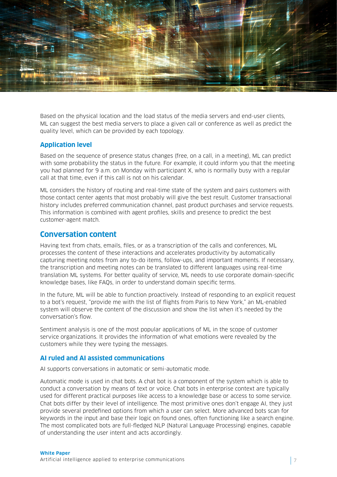<span id="page-6-0"></span>

Based on the physical location and the load status of the media servers and end-user clients, ML can suggest the best media servers to place a given call or conference as well as predict the quality level, which can be provided by each topology.

#### **Application level**

Based on the sequence of presence status changes (free, on a call, in a meeting), ML can predict with some probability the status in the future. For example, it could inform you that the meeting you had planned for 9 a.m. on Monday with participant X, who is normally busy with a regular call at that time, even if this call is not on his calendar.

ML considers the history of routing and real-time state of the system and pairs customers with those contact center agents that most probably will give the best result. Customer transactional history includes preferred communication channel, past product purchases and service requests. This information is combined with agent profiles, skills and presence to predict the best customer-agent match.

## **Conversation content**

Having text from chats, emails, files, or as a transcription of the calls and conferences, ML processes the content of these interactions and accelerates productivity by automatically capturing meeting notes from any to-do items, follow-ups, and important moments. If necessary, the transcription and meeting notes can be translated to different languages using real-time translation ML systems. For better quality of service, ML needs to use corporate domain-specific knowledge bases, like FAQs, in order to understand domain specific terms.

In the future, ML will be able to function proactively. Instead of responding to an explicit request to a bot's request, "provide me with the list of flights from Paris to New York," an ML-enabled system will observe the content of the discussion and show the list when it's needed by the conversation's flow.

Sentiment analysis is one of the most popular applications of ML in the scope of customer service organizations. It provides the information of what emotions were revealed by the customers while they were typing the messages.

#### **AI ruled and AI assisted communications**

AI supports conversations in automatic or semi-automatic mode.

Automatic mode is used in chat bots. A chat bot is a component of the system which is able to conduct a conversation by means of text or voice. Chat bots in enterprise context are typically used for different practical purposes like access to a knowledge base or access to some service. Chat bots differ by their level of intelligence. The most primitive ones don't engage AI, they just provide several predefined options from which a user can select. More advanced bots scan for keywords in the input and base their logic on found ones, often functioning like a search engine. The most complicated bots are full-fledged NLP (Natural Language Processing) engines, capable of understanding the user intent and acts accordingly.